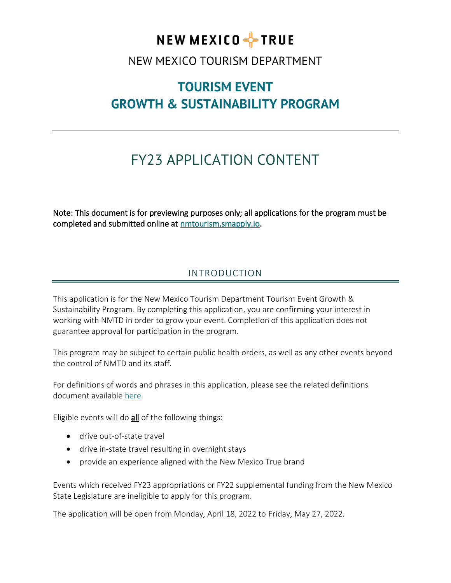

NEW MEXICO TOURISM DEPARTMENT

# **TOURISM EVENT GROWTH & SUSTAINABILITY PROGRAM**

# FY23 APPLICATION CONTENT

Note: This document is for previewing purposes only; all applications for the program must be completed and submitted online at [nmtourism.smapply.io.](nmtourism.smapply.io)

# INTRODUCTION

This application is for the New Mexico Tourism Department Tourism Event Growth & Sustainability Program. By completing this application, you are confirming your interest in working with NMTD in order to grow your event. Completion of this application does not guarantee approval for participation in the program.

This program may be subject to certain public health orders, as well as any other events beyond the control of NMTD and its staff.

For definitions of words and phrases in this application, please see the related definitions document available [here.](https://nmtourism.smapply.io/protected/r/eyJoZnJlIjogMTIyMzA2MTk1LCAidnEiOiAxNzkxNDl9/Tourism_Event_Growth__Sustainability_Program_-_Application_Definitions_FY23.pdf)

Eligible events will do all of the following things:

- drive out-of-state travel
- drive in-state travel resulting in overnight stays
- provide an experience aligned with the New Mexico True brand

Events which received FY23 appropriations or FY22 supplemental funding from the New Mexico State Legislature are ineligible to apply for this program.

The application will be open from Monday, April 18, 2022 to Friday, May 27, 2022.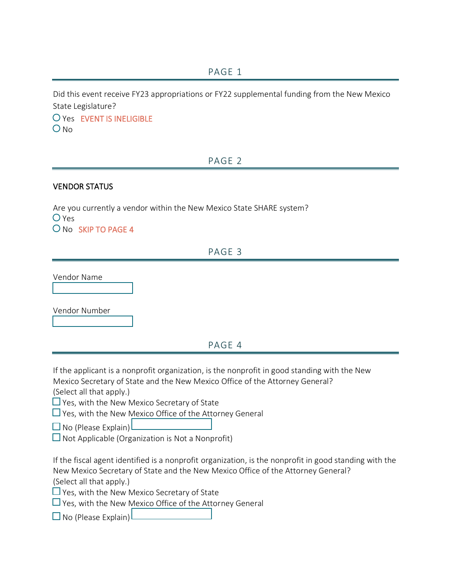Did this event receive FY23 appropriations or FY22 supplemental funding from the New Mexico State Legislature?

Yes EVENT IS INELIGIBLE  $O$  No

# PAGE 2

### VENDOR STATUS

Are you currently a vendor within the New Mexico State SHARE system? O Yes O No SKIP TO PAGE 4

# PAGE 3

Vendor Name

Vendor Number

### PAGE 4

If the applicant is a nonprofit organization, is the nonprofit in good standing with the New Mexico Secretary of State and the New Mexico Office of the Attorney General?

(Select all that apply.)

 $\Box$  Yes, with the New Mexico Secretary of State

 $\Box$  Yes, with the New Mexico Office of the Attorney General

 $\Box$  No (Please Explain)

 $\Box$  Not Applicable (Organization is Not a Nonprofit)

If the fiscal agent identified is a nonprofit organization, is the nonprofit in good standing with the New Mexico Secretary of State and the New Mexico Office of the Attorney General?

(Select all that apply.)

 $\Box$  Yes, with the New Mexico Secretary of State

 $\Box$  Yes, with the New Mexico Office of the Attorney General

 $\Box$  No (Please Explain)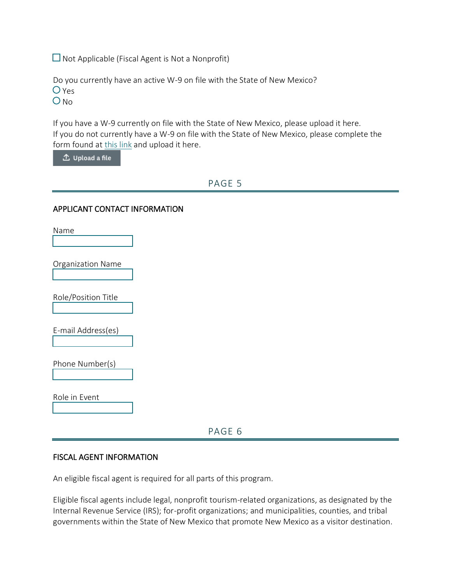$\Box$  Not Applicable (Fiscal Agent is Not a Nonprofit)

Do you currently have an active W-9 on file with the State of New Mexico? O Yes

 $ONO$ 

If you have a W-9 currently on file with the State of New Mexico, please upload it here. If you do not currently have a W-9 on file with the State of New Mexico, please complete the form found at [this link](https://www.nmdfa.state.nm.us/wp-content/uploads/2021/08/NM-SUBSTITUTE-W9.pdf) and upload it here.

 $\hat{\mathbb{L}}$  Upload a file

### PAGE 5

#### APPLICANT CONTACT INFORMATION

Name Organization Name Role/Position Title E-mail Address(es) Phone Number(s) Role in Event

PAGE 6

#### FISCAL AGENT INFORMATION

An eligible fiscal agent is required for all parts of this program.

Eligible fiscal agents include legal, nonprofit tourism-related organizations, as designated by the Internal Revenue Service (IRS); for-profit organizations; and municipalities, counties, and tribal governments within the State of New Mexico that promote New Mexico as a visitor destination.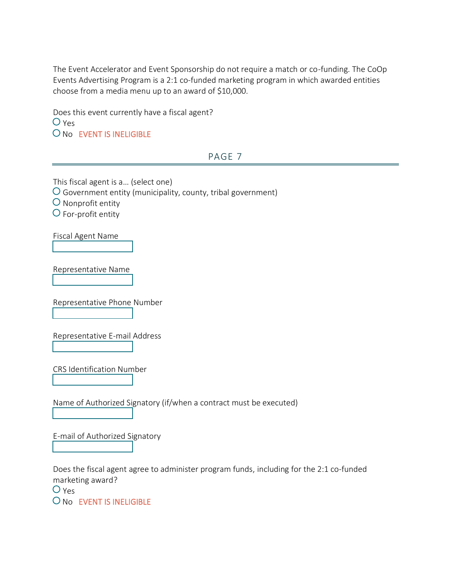The Event Accelerator and Event Sponsorship do not require a match or co-funding. The CoOp Events Advertising Program is a 2:1 co-funded marketing program in which awarded entities choose from a media menu up to an award of \$10,000.

Does this event currently have a fiscal agent?  $O$  Yes O No EVENT IS INELIGIBLE

### PAGE 7

This fiscal agent is a… (select one) Government entity (municipality, county, tribal government)

 $\overline{O}$  Nonprofit entity

For-profit entity

Fiscal Agent Name

Representative Name

Representative Phone Number

Representative E-mail Address

CRS Identification Number

Name of Authorized Signatory (if/when a contract must be executed)

E-mail of Authorized Signatory

Does the fiscal agent agree to administer program funds, including for the 2:1 co-funded marketing award?

 $O$  Yes

O No EVENT IS INELIGIBLE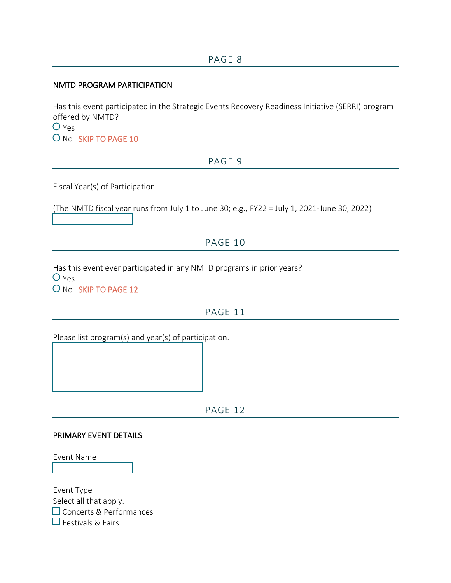#### NMTD PROGRAM PARTICIPATION

Has this event participated in the Strategic Events Recovery Readiness Initiative (SERRI) program offered by NMTD?  $O$  Yes O No SKIP TO PAGE 10

### PAGE 9

Fiscal Year(s) of Participation

(The NMTD fiscal year runs from July 1 to June 30; e.g., FY22 = July 1, 2021-June 30, 2022)

# PAGE 10

Has this event ever participated in any NMTD programs in prior years?

 $O$  Yes O No SKIP TO PAGE 12

# PAGE 11

Please list program(s) and year(s) of participation.

PAGE 12

#### PRIMARY EVENT DETAILS

Event Name

Event Type Select all that apply. Concerts & Performances  $\Box$  Festivals & Fairs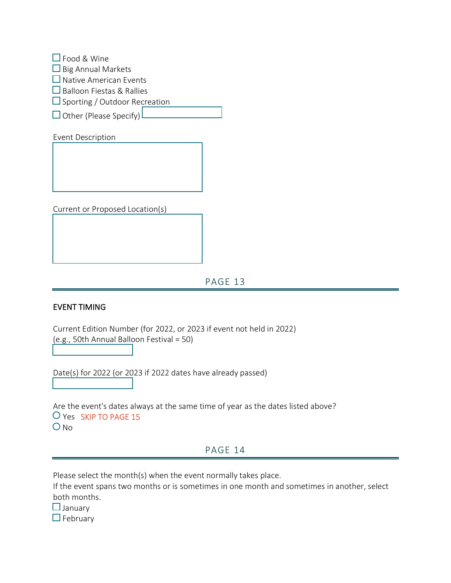| $\Box$ Food & Wine                   |
|--------------------------------------|
| $\Box$ Big Annual Markets            |
| $\Box$ Native American Events        |
| $\Box$ Balloon Fiestas & Rallies     |
| $\Box$ Sporting / Outdoor Recreation |
| $\Box$ Other (Please Specify)        |

Event Description

Current or Proposed Location(s)

PAGE 13

#### EVENT TIMING

Current Edition Number (for 2022, or 2023 if event not held in 2022) (e.g., 50th Annual Balloon Festival = 50)

Date(s) for 2022 (or 2023 if 2022 dates have already passed)

Are the event's dates always at the same time of year as the dates listed above? Yes SKIP TO PAGE 15  $O$  No

### PAGE 14

Please select the month(s) when the event normally takes place.

If the event spans two months or is sometimes in one month and sometimes in another, select both months.

 $\Box$  January

 $\Box$  February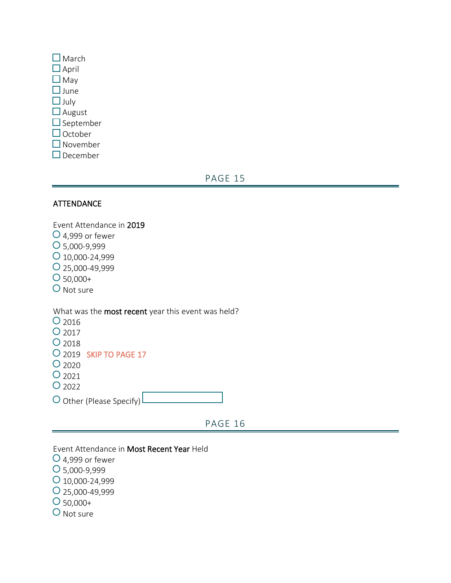| $\Box$ March       |
|--------------------|
|                    |
| $\Box$ April       |
| $\square$ May      |
| $\square$ June     |
| $\Box$ July        |
| $\Box$ August      |
| $\Box$ September   |
| $\Box$ October     |
| $\square$ November |
| December           |

# PAGE 15

### **ATTENDANCE**

Event Attendance in 2019  $O$  4,999 or fewer 5,000-9,999  $O$  10,000-24,999 25,000-49,999  $O_{50,000+}$ O Not sure

What was the most recent year this event was held?

| $O$ 2016          |                          |  |
|-------------------|--------------------------|--|
| O 2017            |                          |  |
| O <sub>2018</sub> |                          |  |
|                   | O 2019 SKIP TO PAGE 17   |  |
| O <sub>2020</sub> |                          |  |
| $O_{2021}$        |                          |  |
| $O_{2022}$        |                          |  |
|                   | O Other (Please Specify) |  |

PAGE 16

Event Attendance in Most Recent Year Held

- $O$  4,999 or fewer
- 5,000-9,999
- $O$  10,000-24,999
- 25,000-49,999
- $O_{50,000+}$
- O Not sure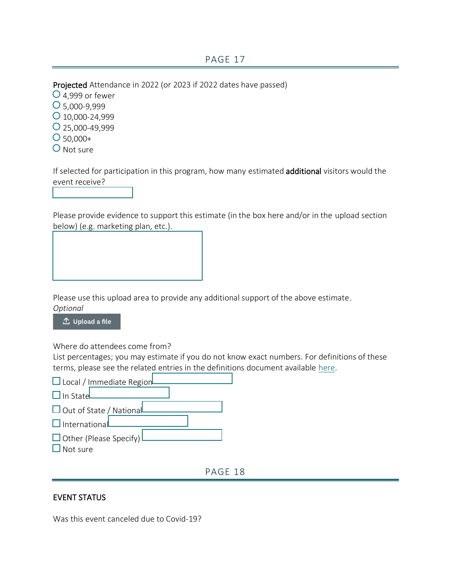Projected Attendance in 2022 (or 2023 if 2022 dates have passed)

- $O$  4,999 or fewer
- 5,000-9,999
- $O$  10,000-24,999
- 25,000-49,999
- $O$  50,000+
- O Not sure

If selected for participation in this program, how many estimated additional visitors would the event receive?

Please provide evidence to support this estimate (in the box here and/or in the upload section below) (e.g. marketing plan, etc.).

Please use this upload area to provide any additional support of the above estimate. *Optional*

△ Upload a file

Where do attendees come from?

List percentages; you may estimate if you do not know exact numbers. For definitions of these terms, please see the related entries in the definitions document available [here.](https://nmtourism.smapply.io/protected/r/eyJoZnJlIjogMTIyMzA2MTk1LCAidnEiOiAxNzkxNDl9/Tourism_Event_Growth__Sustainability_Program_-_Application_Definitions_FY23.pdf)

| $\Box$ Local / Immediate Region           |
|-------------------------------------------|
| $\Box$ In State                           |
| $\Box$ Out of State / National            |
| $\Box$ International                      |
| $\Box$ Other (Please Specify)<br>Not sure |
|                                           |

PAGE 18

### EVENT STATUS

Was this event canceled due to Covid-19?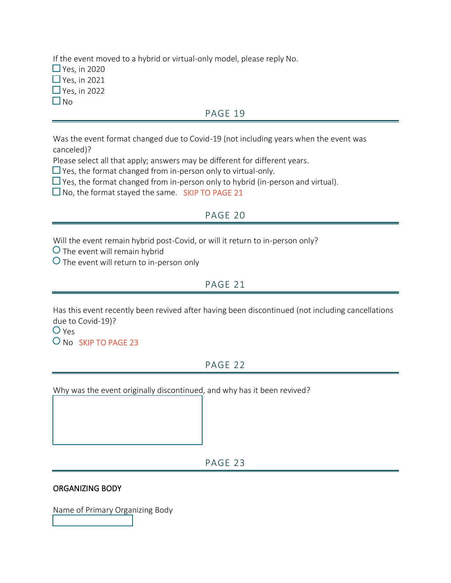If the event moved to a hybrid or virtual-only model, please reply No.  $\Box$  Yes, in 2020  $\Box$  Yes, in 2021  $\Box$  Yes, in 2022  $\Box$  No

### PAGE 19

Was the event format changed due to Covid-19 (not including years when the event was canceled)?

Please select all that apply; answers may be different for different years.

 $\Box$  Yes, the format changed from in-person only to virtual-only.

 $\Box$  Yes, the format changed from in-person only to hybrid (in-person and virtual).

 $\square$  No, the format stayed the same. SKIP TO PAGE 21

### PAGE 20

Will the event remain hybrid post-Covid, or will it return to in-person only?

 $\bigcirc$  The event will remain hybrid

 $\overline{O}$  The event will return to in-person only

### PAGE 21

Has this event recently been revived after having been discontinued (not including cancellations due to Covid-19)?

 $O$  Yes

O No SKIP TO PAGE 23

## PAGE 22

Why was the event originally discontinued, and why has it been revived?

PAGE 23

#### ORGANIZING BODY

Name of Primary Organizing Body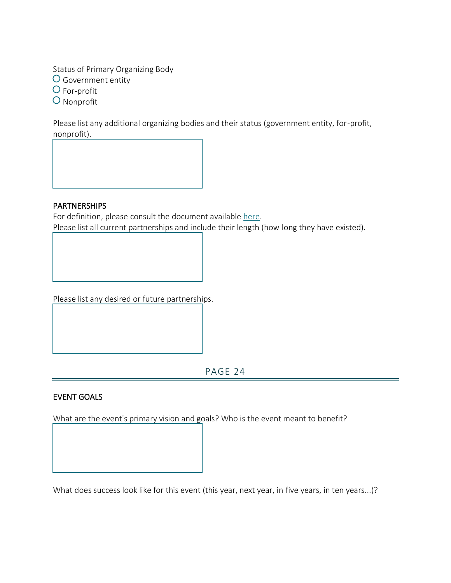Status of Primary Organizing Body Government entity O For-profit O Nonprofit

Please list any additional organizing bodies and their status (government entity, for-profit, nonprofit).

#### PARTNERSHIPS

For definition, please consult the document available [here.](https://nmtourism.smapply.io/protected/r/eyJoZnJlIjogMTIyMzA2MTk1LCAidnEiOiAxNzkxNDl9/Tourism_Event_Growth__Sustainability_Program_-_Application_Definitions_FY23.pdf) Please list all current partnerships and include their length (how long they have existed).

Please list any desired or future partnerships.

PAGE 24

### EVENT GOALS

What are the event's primary vision and goals? Who is the event meant to benefit?

What does success look like for this event (this year, next year, in five years, in ten years...)?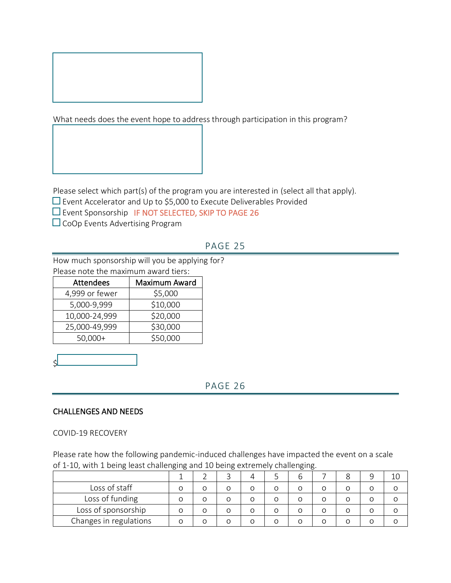

What needs does the event hope to address through participation in this program?

Please select which part(s) of the program you are interested in (select all that apply).

 $\square$  Event Accelerator and Up to \$5,000 to Execute Deliverables Provided

 $\Box$  Event Sponsorship IF NOT SELECTED, SKIP TO PAGE 26

 $\Box$  CoOp Events Advertising Program

# PAGE 25

How much sponsorship will you be applying for? Please note the maximum award tiers:

| <b>Attendees</b> | Maximum Award |
|------------------|---------------|
| 4,999 or fewer   | \$5,000       |
| 5,000-9,999      | \$10,000      |
| 10,000-24,999    | \$20,000      |
| 25,000-49,999    | \$30,000      |
| $50,000+$        | \$50,000      |

PAGE 26

#### CHALLENGES AND NEEDS

COVID-19 RECOVERY

\$

Please rate how the following pandemic-induced challenges have impacted the event on a scale of 1-10, with 1 being least challenging and 10 being extremely challenging.

|                        |   |   | n | ŏ |  |
|------------------------|---|---|---|---|--|
| Loss of staff          |   |   | Ω |   |  |
| Loss of funding        |   |   |   |   |  |
| Loss of sponsorship    |   | Ο |   | O |  |
| Changes in regulations | n |   | ∩ |   |  |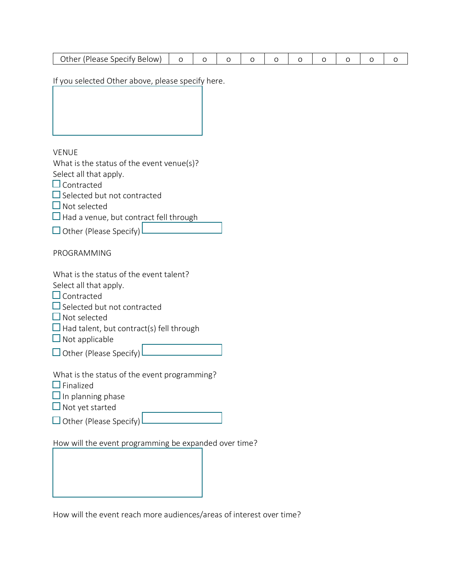| Other (Please Specify Below) |  |  |  |  |  |  |  |  |  |  |
|------------------------------|--|--|--|--|--|--|--|--|--|--|
|------------------------------|--|--|--|--|--|--|--|--|--|--|

If you selected Other above, please specify here.

VENUE

What is the status of the event venue(s)?

Select all that apply.

 $\Box$  Contracted

 $\square$  Selected but not contracted

 $\Box$  Not selected

 $\Box$  Had a venue, but contract fell through

 $\Box$  Other (Please Specify)

PROGRAMMING

What is the status of the event talent?

Select all that apply.

 $\Box$  Contracted

 $\square$  Selected but not contracted

 $\Box$  Not selected

 $\Box$  Had talent, but contract(s) fell through

 $\Box$  Not applicable

 $\Box$  Other (Please Specify)

What is the status of the event programming?

 $\square$  Finalized

 $\Box$  In planning phase

 $\Box$  Not yet started

 $\Box$  Other (Please Specify)

How will the event programming be expanded over time?

How will the event reach more audiences/areas of interest over time?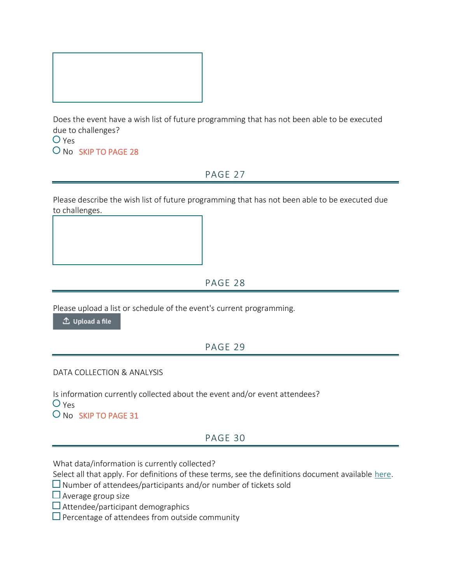

Does the event have a wish list of future programming that has not been able to be executed due to challenges?

 $O$  Yes O No SKIP TO PAGE 28

### PAGE 27

Please describe the wish list of future programming that has not been able to be executed due to challenges.

### PAGE 28

Please upload a list or schedule of the event's current programming.

 $\hat{\mathbb{L}}$  Upload a file

### PAGE 29

### DATA COLLECTION & ANALYSIS

Is information currently collected about the event and/or event attendees?  $O$  Yes O No SKIP TO PAGE 31

### PAGE 30

What data/information is currently collected?

Select all that apply. For definitions of these terms, see the definitions document available [here.](https://nmtourism.smapply.io/protected/r/eyJoZnJlIjogMTIyMzA2MTk1LCAidnEiOiAxNzkxNDl9/Tourism_Event_Growth__Sustainability_Program_-_Application_Definitions_FY23.pdf)

- $\Box$  Number of attendees/participants and/or number of tickets sold
- $\Box$  Average group size
- $\square$  Attendee/participant demographics
- $\square$  Percentage of attendees from outside community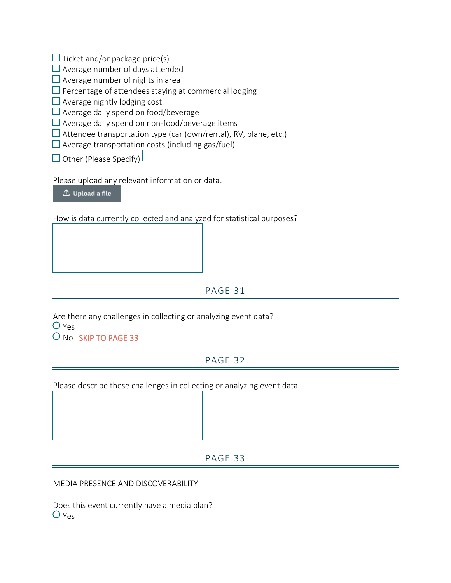$\Box$  Ticket and/or package price(s)

 $\Box$  Average number of days attended

 $\Box$  Average number of nights in area

 $\square$  Percentage of attendees staying at commercial lodging

 $\Box$  Average nightly lodging cost

 $\Box$  Average daily spend on food/beverage

 $\square$  Average daily spend on non-food/beverage items

 $\square$  Attendee transportation type (car (own/rental), RV, plane, etc.)

 $\square$  Average transportation costs (including gas/fuel)

 $\Box$  Other (Please Specify)

Please upload any relevant information or data.

△ Upload a file

How is data currently collected and analyzed for statistical purposes?

# PAGE 31

Are there any challenges in collecting or analyzing event data? O Yes O No SKIP TO PAGE 33

# PAGE 32

Please describe these challenges in collecting or analyzing event data.

### PAGE 33

MEDIA PRESENCE AND DISCOVERABILITY

Does this event currently have a media plan? O Yes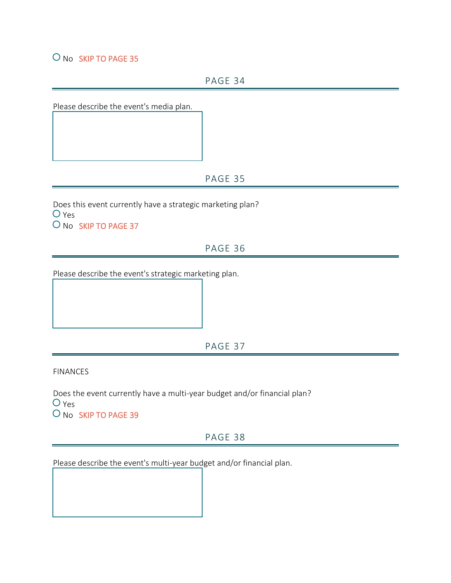### O No SKIP TO PAGE 35

PAGE 34

Please describe the event's media plan.

### PAGE 35

Does this event currently have a strategic marketing plan? O Yes O No SKIP TO PAGE 37

# PAGE 36

Please describe the event's strategic marketing plan.

PAGE 37

FINANCES

Does the event currently have a multi-year budget and/or financial plan?  $O$  Yes O No SKIP TO PAGE 39

### PAGE 38

Please describe the event's multi-year budget and/or financial plan.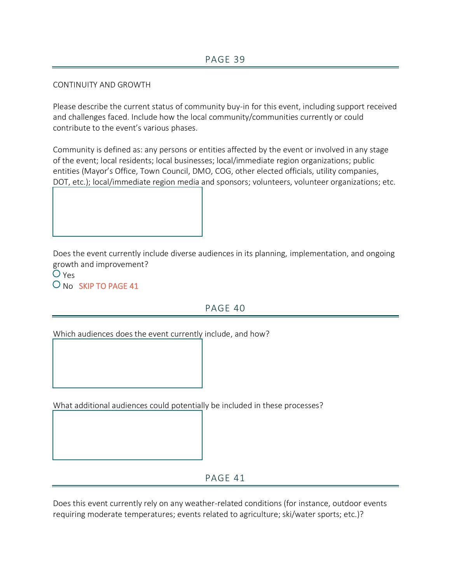#### CONTINUITY AND GROWTH

Please describe the current status of community buy-in for this event, including support received and challenges faced. Include how the local community/communities currently or could contribute to the event's various phases.

Community is defined as: any persons or entities affected by the event or involved in any stage of the event; local residents; local businesses; local/immediate region organizations; public entities (Mayor's Office, Town Council, DMO, COG, other elected officials, utility companies, DOT, etc.); local/immediate region media and sponsors; volunteers, volunteer organizations; etc.



Does the event currently include diverse audiences in its planning, implementation, and ongoing growth and improvement?

 $O$  Yes O No SKIP TO PAGE 41

# PAGE 40

Which audiences does the event currently include, and how?

What additional audiences could potentially be included in these processes?

PAGE 41

Does this event currently rely on any weather-related conditions (for instance, outdoor events requiring moderate temperatures; events related to agriculture; ski/water sports; etc.)?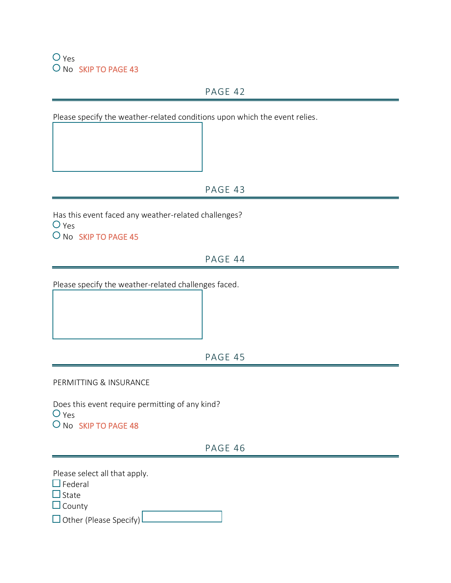$O$  Yes O No SKIP TO PAGE 43

# PAGE 42

Please specify the weather-related conditions upon which the event relies.

# PAGE 43

Has this event faced any weather-related challenges?  $O$  Yes O No SKIP TO PAGE 45

PAGE 44

Please specify the weather-related challenges faced.

PAGE 45

PERMITTING & INSURANCE

Does this event require permitting of any kind?  $O$  Yes O No SKIP TO PAGE 48

PAGE 46

Please select all that apply.

 $\Box$  Federal

 $\Box$  State

 $\Box$  County

 $\Box$  Other (Please Specify)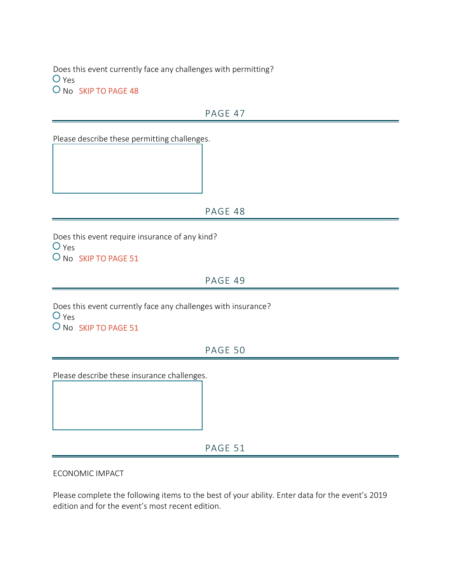Does this event currently face any challenges with permitting?  $O$  Yes O No SKIP TO PAGE 48

### PAGE 47

Please describe these permitting challenges.

PAGE 48

Does this event require insurance of any kind?  $O$  Yes O No SKIP TO PAGE 51

PAGE 49

Does this event currently face any challenges with insurance?  $O$  Yes O No SKIP TO PAGE 51

### PAGE 50

Please describe these insurance challenges.

PAGE 51

ECONOMIC IMPACT

Please complete the following items to the best of your ability. Enter data for the event's 2019 edition and for the event's most recent edition.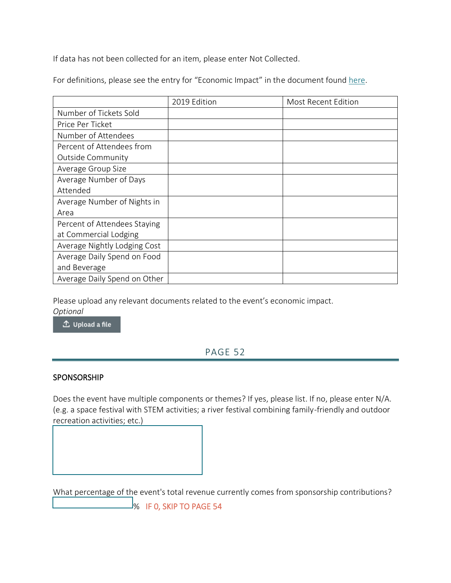If data has not been collected for an item, please enter Not Collected.

For definitions, please see the entry for "Economic Impact" in the document found [here.](https://nmtourism.smapply.io/protected/r/eyJoZnJlIjogMTIyMzA2MTk1LCAidnEiOiAxNzkxNDl9/Tourism_Event_Growth__Sustainability_Program_-_Application_Definitions_FY23.pdf)

|                              | 2019 Edition | <b>Most Recent Edition</b> |
|------------------------------|--------------|----------------------------|
| Number of Tickets Sold       |              |                            |
| Price Per Ticket             |              |                            |
| Number of Attendees          |              |                            |
| Percent of Attendees from    |              |                            |
| <b>Outside Community</b>     |              |                            |
| Average Group Size           |              |                            |
| Average Number of Days       |              |                            |
| Attended                     |              |                            |
| Average Number of Nights in  |              |                            |
| Area                         |              |                            |
| Percent of Attendees Staying |              |                            |
| at Commercial Lodging        |              |                            |
| Average Nightly Lodging Cost |              |                            |
| Average Daily Spend on Food  |              |                            |
| and Beverage                 |              |                            |
| Average Daily Spend on Other |              |                            |

Please upload any relevant documents related to the event's economic impact. *Optional*

△ Upload a file

# PAGE 52

### SPONSORSHIP

Does the event have multiple components or themes? If yes, please list. If no, please enter N/A. (e.g. a space festival with STEM activities; a river festival combining family-friendly and outdoor recreation activities; etc.)

What percentage of the event's total revenue currently comes from sponsorship contributions?  $\mathsf{\mathsf{J}}\mathsf{\mathsf{S}}$  IF 0, SKIP TO PAGE 54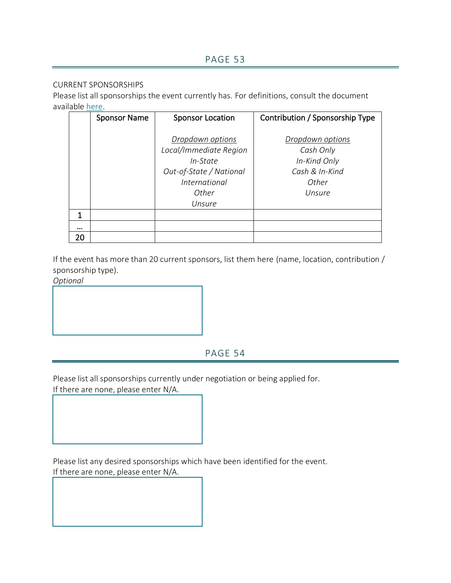#### CURRENT SPONSORSHIPS

Please list all sponsorships the event currently has. For definitions, consult the document available [here.](https://nmtourism.smapply.io/protected/r/eyJoZnJlIjogMTIyMzA2MTk1LCAidnEiOiAxNzkxNDl9/Tourism_Event_Growth__Sustainability_Program_-_Application_Definitions_FY23.pdf)

|    | <b>Sponsor Name</b> | <b>Sponsor Location</b> | Contribution / Sponsorship Type |
|----|---------------------|-------------------------|---------------------------------|
|    |                     |                         |                                 |
|    |                     | Dropdown options        | Dropdown options                |
|    |                     | Local/Immediate Region  | Cash Only                       |
|    |                     | In-State                | In-Kind Only                    |
|    |                     | Out-of-State / National | Cash & In-Kind                  |
|    |                     | <i>International</i>    | Other                           |
|    |                     | Other                   | Unsure                          |
|    |                     | Unsure                  |                                 |
| 1  |                     |                         |                                 |
|    |                     |                         |                                 |
| 20 |                     |                         |                                 |

If the event has more than 20 current sponsors, list them here (name, location, contribution / sponsorship type).

*Optional*

# PAGE 54

Please list all sponsorships currently under negotiation or being applied for.

If there are none, please enter N/A.

Please list any desired sponsorships which have been identified for the event. If there are none, please enter N/A.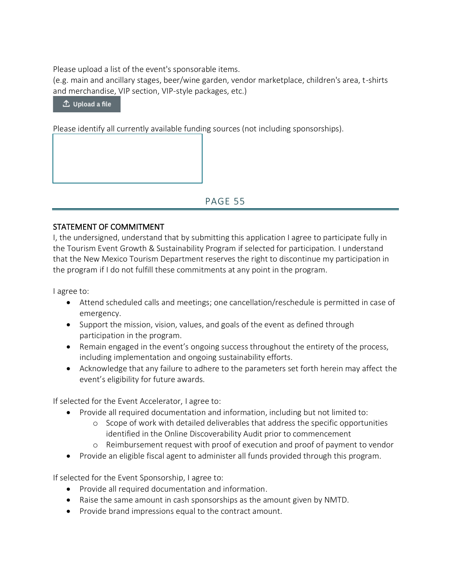Please upload a list of the event's sponsorable items.

(e.g. main and ancillary stages, beer/wine garden, vendor marketplace, children's area, t-shirts and merchandise, VIP section, VIP-style packages, etc.)

 $\triangle$  Upload a file

Please identify all currently available funding sources (not including sponsorships).

PAGE 55

### STATEMENT OF COMMITMENT

I, the undersigned, understand that by submitting this application I agree to participate fully in the Tourism Event Growth & Sustainability Program if selected for participation. I understand that the New Mexico Tourism Department reserves the right to discontinue my participation in the program if I do not fulfill these commitments at any point in the program.

I agree to:

- Attend scheduled calls and meetings; one cancellation/reschedule is permitted in case of emergency.
- Support the mission, vision, values, and goals of the event as defined through participation in the program.
- Remain engaged in the event's ongoing success throughout the entirety of the process, including implementation and ongoing sustainability efforts.
- Acknowledge that any failure to adhere to the parameters set forth herein may affect the event's eligibility for future awards.

If selected for the Event Accelerator, I agree to:

- Provide all required documentation and information, including but not limited to:
	- o Scope of work with detailed deliverables that address the specific opportunities identified in the Online Discoverability Audit prior to commencement
	- o Reimbursement request with proof of execution and proof of payment to vendor
- Provide an eligible fiscal agent to administer all funds provided through this program.

If selected for the Event Sponsorship, I agree to:

- Provide all required documentation and information.
- Raise the same amount in cash sponsorships as the amount given by NMTD.
- Provide brand impressions equal to the contract amount.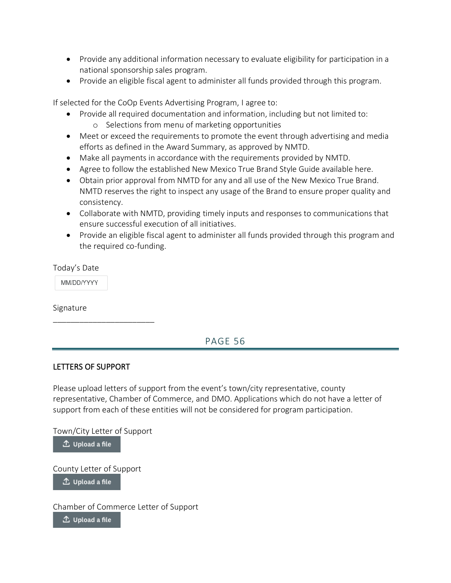- Provide any additional information necessary to evaluate eligibility for participation in a national sponsorship sales program.
- Provide an eligible fiscal agent to administer all funds provided through this program.

If selected for the CoOp Events Advertising Program, I agree to:

- Provide all required documentation and information, including but not limited to:
	- o Selections from menu of marketing opportunities
- Meet or exceed the requirements to promote the event through advertising and media efforts as defined in the Award Summary, as approved by NMTD.
- Make all payments in accordance with the requirements provided by NMTD.
- Agree to follow the established New Mexico True Brand Style Guide available here.
- Obtain prior approval from NMTD for any and all use of the New Mexico True Brand. NMTD reserves the right to inspect any usage of the Brand to ensure proper quality and consistency.
- Collaborate with NMTD, providing timely inputs and responses to communications that ensure successful execution of all initiatives.
- Provide an eligible fiscal agent to administer all funds provided through this program and the required co-funding.

Today's Date

MM/DD/YYYY

Signature

# PAGE 56

### LETTERS OF SUPPORT

\_\_\_\_\_\_\_\_\_\_\_\_\_\_\_\_\_\_\_\_\_\_\_

Please upload letters of support from the event's town/city representative, county representative, Chamber of Commerce, and DMO. Applications which do not have a letter of support from each of these entities will not be considered for program participation.

Town/City Letter of Support

 $\mathbf{\hat{L}}$  Upload a file

County Letter of Support

 $\triangle$  Upload a file

Chamber of Commerce Letter of Support

 $\triangle$  Upload a file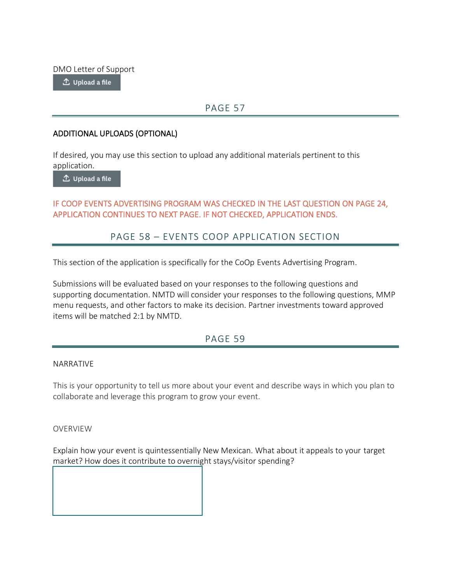DMO Letter of Support

 $\mathbf{\hat{\perp}}$  Upload a file

# PAGE 57

#### ADDITIONAL UPLOADS (OPTIONAL)

If desired, you may use this section to upload any additional materials pertinent to this application.

 $\hat{\mathbb{L}}$  Upload a file

### IF COOP EVENTS ADVERTISING PROGRAM WAS CHECKED IN THE LAST QUESTION ON PAGE 24, APPLICATION CONTINUES TO NEXT PAGE. IF NOT CHECKED, APPLICATION ENDS.

# PAGE 58 – EVENTS COOP APPLICATION SECTION

This section of the application is specifically for the CoOp Events Advertising Program.

Submissions will be evaluated based on your responses to the following questions and supporting documentation. NMTD will consider your responses to the following questions, MMP menu requests, and other factors to make its decision. Partner investments toward approved items will be matched 2:1 by NMTD.

### PAGE 59

#### NARRATIVE

This is your opportunity to tell us more about your event and describe ways in which you plan to collaborate and leverage this program to grow your event.

OVERVIEW

Explain how your event is quintessentially New Mexican. What about it appeals to your target market? How does it contribute to overnight stays/visitor spending?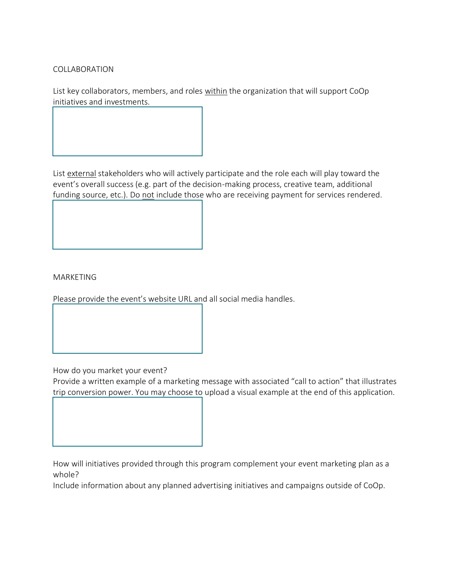COLLABORATION

List key collaborators, members, and roles within the organization that will support CoOp initiatives and investments.

List external stakeholders who will actively participate and the role each will play toward the event's overall success (e.g. part of the decision-making process, creative team, additional funding source, etc.). Do not include those who are receiving payment for services rendered.

MARKETING

Please provide the event's website URL and all social media handles.

How do you market your event?

Provide a written example of a marketing message with associated "call to action" that illustrates trip conversion power. You may choose to upload a visual example at the end of this application.

How will initiatives provided through this program complement your event marketing plan as a whole?

Include information about any planned advertising initiatives and campaigns outside of CoOp.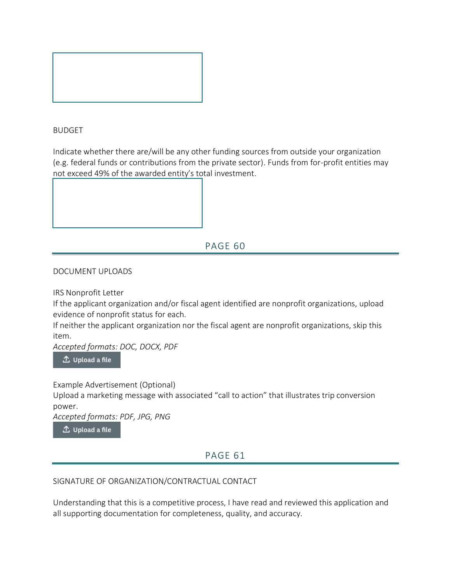

#### BUDGET

Indicate whether there are/will be any other funding sources from outside your organization (e.g. federal funds or contributions from the private sector). Funds from for-profit entities may not exceed 49% of the awarded entity's total investment.



# PAGE 60

DOCUMENT UPLOADS

IRS Nonprofit Letter

If the applicant organization and/or fiscal agent identified are nonprofit organizations, upload evidence of nonprofit status for each.

If neither the applicant organization nor the fiscal agent are nonprofit organizations, skip this item.

*Accepted formats: DOC, DOCX, PDF*

 $\hat{\mathbb{L}}$  Upload a file

Example Advertisement (Optional)

Upload a marketing message with associated "call to action" that illustrates trip conversion power.

*Accepted formats: PDF, JPG, PNG*

△ Upload a file

### PAGE 61

#### SIGNATURE OF ORGANIZATION/CONTRACTUAL CONTACT

Understanding that this is a competitive process, I have read and reviewed this application and all supporting documentation for completeness, quality, and accuracy.